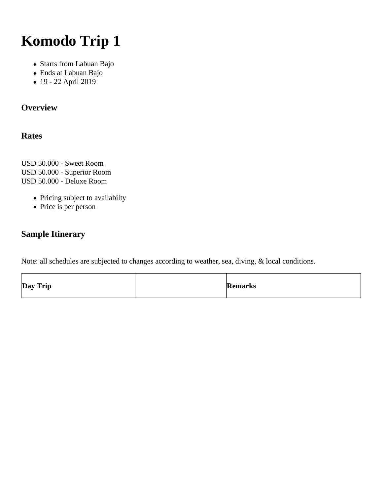# **Komodo Trip 1**

- Starts from Labuan Bajo
- Ends at Labuan Bajo
- 19 22 April 2019

# **Overview**

### **Rates**

USD 50.000 - Sweet Room USD 50.000 - Superior Room USD 50.000 - Deluxe Room

- Pricing subject to availabilty
- Price is per person

# **Sample Itinerary**

Note: all schedules are subjected to changes according to weather, sea, diving, & local conditions.

| Day Trip |  | Remarks |
|----------|--|---------|
|----------|--|---------|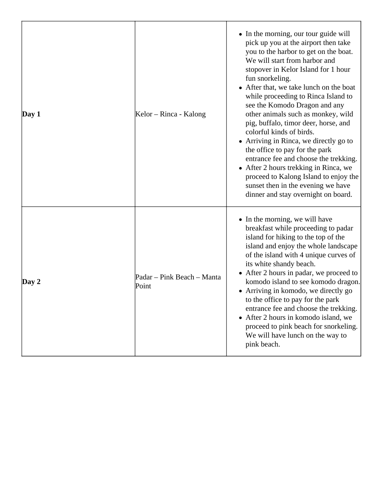| $\bf Day 1$ | Kelor – Rinca - Kalong              | • In the morning, our tour guide will<br>pick up you at the airport then take<br>you to the harbor to get on the boat.<br>We will start from harbor and<br>stopover in Kelor Island for 1 hour<br>fun snorkeling.<br>• After that, we take lunch on the boat<br>while proceeding to Rinca Island to<br>see the Komodo Dragon and any<br>other animals such as monkey, wild<br>pig, buffalo, timor deer, horse, and<br>colorful kinds of birds.<br>• Arriving in Rinca, we directly go to<br>the office to pay for the park<br>entrance fee and choose the trekking.<br>• After 2 hours trekking in Rinca, we<br>proceed to Kalong Island to enjoy the<br>sunset then in the evening we have<br>dinner and stay overnight on board. |
|-------------|-------------------------------------|------------------------------------------------------------------------------------------------------------------------------------------------------------------------------------------------------------------------------------------------------------------------------------------------------------------------------------------------------------------------------------------------------------------------------------------------------------------------------------------------------------------------------------------------------------------------------------------------------------------------------------------------------------------------------------------------------------------------------------|
| Day 2       | Padar – Pink Beach – Manta<br>Point | • In the morning, we will have<br>breakfast while proceeding to padar<br>island for hiking to the top of the<br>island and enjoy the whole landscape<br>of the island with 4 unique curves of<br>its white shandy beach.<br>• After 2 hours in padar, we proceed to<br>komodo island to see komodo dragon.<br>• Arriving in komodo, we directly go<br>to the office to pay for the park<br>entrance fee and choose the trekking.<br>• After 2 hours in komodo island, we<br>proceed to pink beach for snorkeling.<br>We will have lunch on the way to<br>pink beach.                                                                                                                                                               |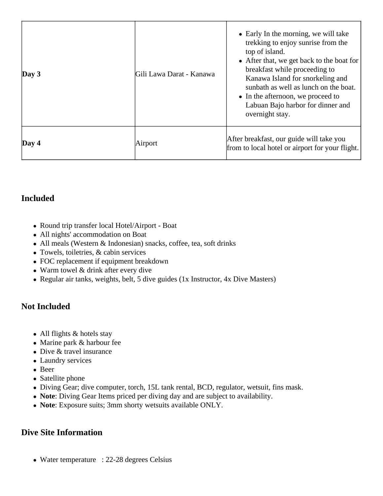| Day 3       | Gili Lawa Darat - Kanawa | • Early In the morning, we will take<br>trekking to enjoy sunrise from the<br>top of island.<br>• After that, we get back to the boat for<br>breakfast while proceeding to<br>Kanawa Island for snorkeling and<br>sunbath as well as lunch on the boat.<br>• In the afternoon, we proceed to<br>Labuan Bajo harbor for dinner and<br>overnight stay. |
|-------------|--------------------------|------------------------------------------------------------------------------------------------------------------------------------------------------------------------------------------------------------------------------------------------------------------------------------------------------------------------------------------------------|
| $\bf Day 4$ | Airport                  | After breakfast, our guide will take you<br>from to local hotel or airport for your flight.                                                                                                                                                                                                                                                          |

# **Included**

- Round trip transfer local Hotel/Airport Boat
- All nights' accommodation on Boat
- All meals (Western & Indonesian) snacks, coffee, tea, soft drinks
- Towels, toiletries, & cabin services
- FOC replacement if equipment breakdown
- Warm towel & drink after every dive
- Regular air tanks, weights, belt, 5 dive guides (1x Instructor, 4x Dive Masters)

#### **Not Included**

- All flights & hotels stay
- Marine park & harbour fee
- Dive & travel insurance
- Laundry services
- Beer
- Satellite phone
- Diving Gear; dive computer, torch, 15L tank rental, BCD, regulator, wetsuit, fins mask.
- **Note**: Diving Gear Items priced per diving day and are subject to availability.
- **Note**: Exposure suits; 3mm shorty wetsuits available ONLY.

#### **Dive Site Information**

• Water temperature : 22-28 degrees Celsius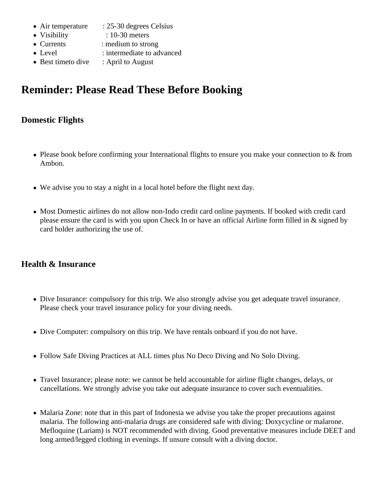- Air temperature : 25-30 degrees Celsius
- Visibility : 10-30 meters
- Currents : medium to strong
- Level : intermediate to advanced
- Best timeto dive : April to August

# **Reminder: Please Read These Before Booking**

# **Domestic Flights**

- Please book before confirming your International flights to ensure you make your connection to & from Ambon.
- We advise you to stay a night in a local hotel before the flight next day.
- Most Domestic airlines do not allow non-Indo credit card online payments. If booked with credit card please ensure the card is with you upon Check In or have an official Airline form filled in & signed by card holder authorizing the use of.

#### **Health & Insurance**

- Dive Insurance: compulsory for this trip. We also strongly advise you get adequate travel insurance. Please check your travel insurance policy for your diving needs.
- Dive Computer: compulsory on this trip. We have rentals onboard if you do not have.
- Follow Safe Diving Practices at ALL times plus No Deco Diving and No Solo Diving.
- Travel Insurance; please note: we cannot be held accountable for airline flight changes, delays, or cancellations. We strongly advise you take out adequate insurance to cover such eventualities.
- Malaria Zone: note that in this part of Indonesia we advise you take the proper precautions against malaria. The following anti-malaria drugs are considered safe with diving: Doxycycline or malarone. Mefloquine (Lariam) is NOT recommended with diving. Good preventative measures include DEET and long armed/legged clothing in evenings. If unsure consult with a diving doctor.